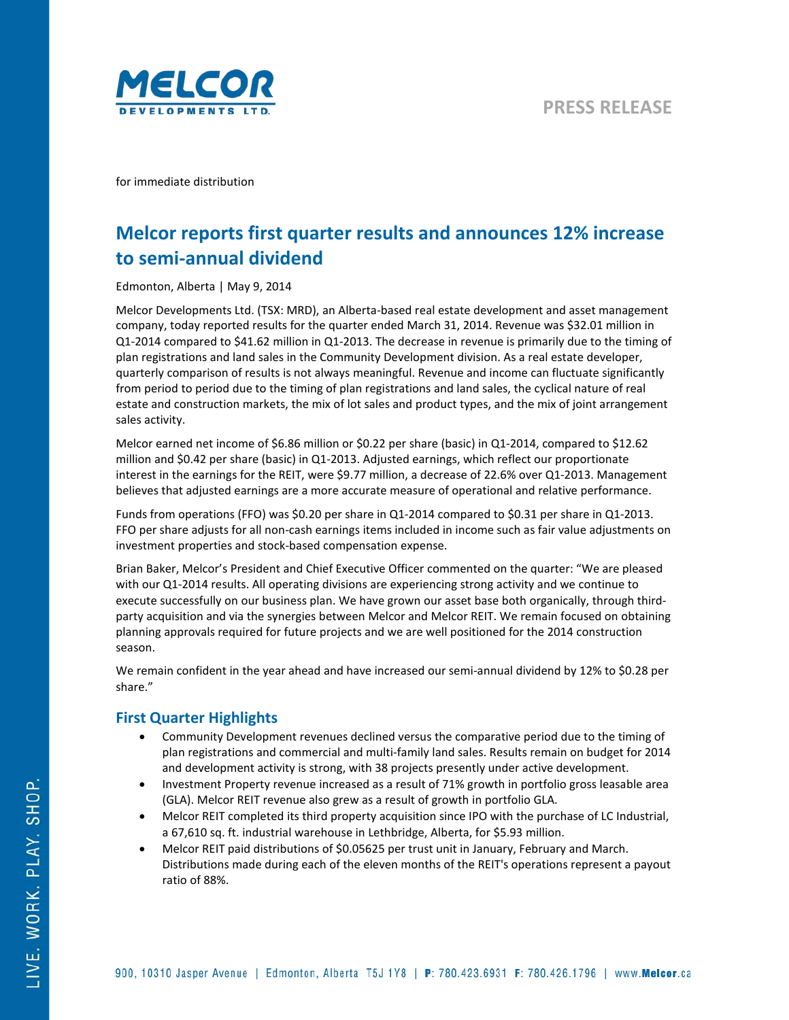

for immediate distribution

# **Melcor reports first quarter results and announces 12% increase to semi-annual dividend**

Edmonton, Alberta | May 9, 2014

Melcor Developments Ltd. (TSX: MRD), an Alberta-based real estate development and asset management company, today reported results for the quarter ended March 31, 2014. Revenue was \$32.01 million in Q1-2014 compared to \$41.62 million in Q1-2013. The decrease in revenue is primarily due to the timing of plan registrations and land sales in the Community Development division. As a real estate developer, quarterly comparison of results is not always meaningful. Revenue and income can fluctuate significantly from period to period due to the timing of plan registrations and land sales, the cyclical nature of real estate and construction markets, the mix of lot sales and product types, and the mix of joint arrangement sales activity.

Melcor earned net income of \$6.86 million or \$0.22 per share (basic) in Q1-2014, compared to \$12.62 million and \$0.42 per share (basic) in Q1-2013. Adjusted earnings, which reflect our proportionate interest in the earnings for the REIT, were \$9.77 million, a decrease of 22.6% over Q1-2013. Management believes that adjusted earnings are a more accurate measure of operational and relative performance.

Funds from operations (FFO) was \$0.20 per share in Q1-2014 compared to \$0.31 per share in Q1-2013. FFO per share adjusts for all non-cash earnings items included in income such as fair value adjustments on investment properties and stock-based compensation expense.

Brian Baker, Melcor's President and Chief Executive Officer commented on the quarter: "We are pleased with our Q1-2014 results. All operating divisions are experiencing strong activity and we continue to execute successfully on our business plan. We have grown our asset base both organically, through thirdparty acquisition and via the synergies between Melcor and Melcor REIT. We remain focused on obtaining planning approvals required for future projects and we are well positioned for the 2014 construction season.

We remain confident in the year ahead and have increased our semi-annual dividend by 12% to \$0.28 per share."

## **First Quarter Highlights**

- Community Development revenues declined versus the comparative period due to the timing of plan registrations and commercial and multi-family land sales. Results remain on budget for 2014 and development activity is strong, with 38 projects presently under active development.
- Investment Property revenue increased as a result of 71% growth in portfolio gross leasable area (GLA). Melcor REIT revenue also grew as a result of growth in portfolio GLA.
- Melcor REIT completed its third property acquisition since IPO with the purchase of LC Industrial, a 67,610 sq. ft. industrial warehouse in Lethbridge, Alberta, for \$5.93 million.
- Melcor REIT paid distributions of \$0.05625 per trust unit in January, February and March. Distributions made during each of the eleven months of the REIT's operations represent a payout ratio of 88%.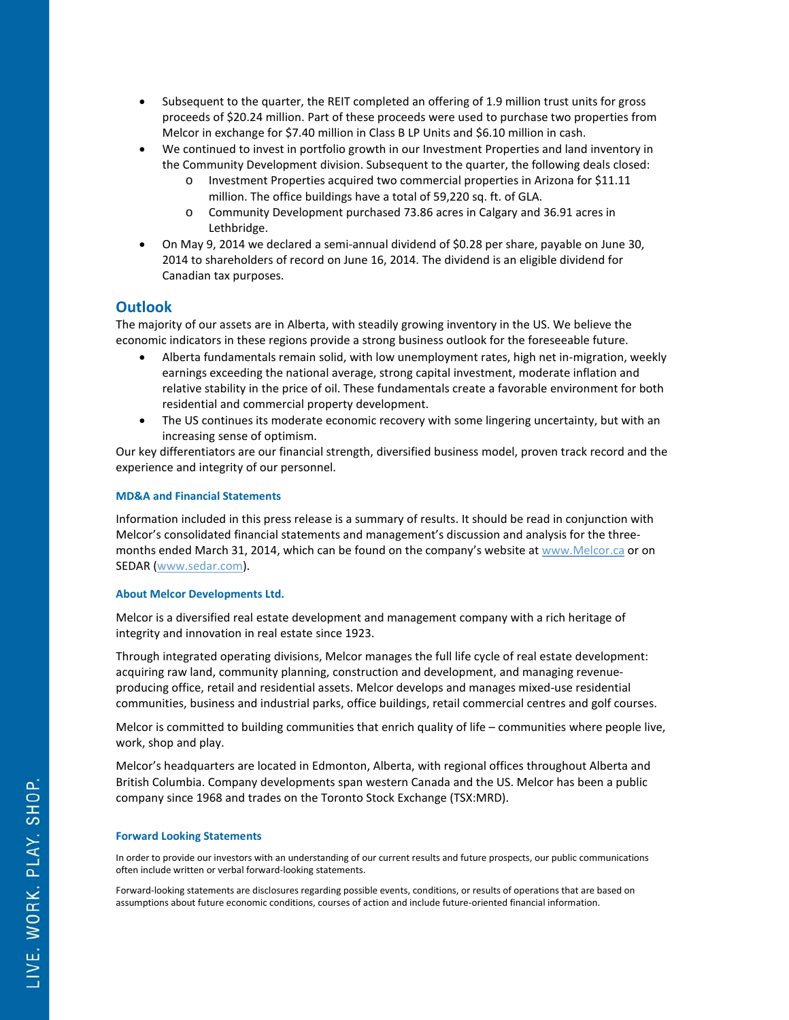- Subsequent to the quarter, the REIT completed an offering of 1.9 million trust units for gross proceeds of \$20.24 million. Part of these proceeds were used to purchase two properties from Melcor in exchange for \$7.40 million in Class B LP Units and \$6.10 million in cash.
- We continued to invest in portfolio growth in our Investment Properties and land inventory in the Community Development division. Subsequent to the quarter, the following deals closed:
	- o Investment Properties acquired two commercial properties in Arizona for \$11.11 million. The office buildings have a total of 59,220 sq. ft. of GLA.
	- o Community Development purchased 73.86 acres in Calgary and 36.91 acres in Lethbridge.
- On May 9, 2014 we declared a semi-annual dividend of \$0.28 per share, payable on June 30, 2014 to shareholders of record on June 16, 2014. The dividend is an eligible dividend for Canadian tax purposes.

## **Outlook**

The majority of our assets are in Alberta, with steadily growing inventory in the US. We believe the economic indicators in these regions provide a strong business outlook for the foreseeable future.

- Alberta fundamentals remain solid, with low unemployment rates, high net in-migration, weekly earnings exceeding the national average, strong capital investment, moderate inflation and relative stability in the price of oil. These fundamentals create a favorable environment for both residential and commercial property development.
- The US continues its moderate economic recovery with some lingering uncertainty, but with an increasing sense of optimism.

Our key differentiators are our financial strength, diversified business model, proven track record and the experience and integrity of our personnel.

### **MD&A and Financial Statements**

Information included in this press release is a summary of results. It should be read in conjunction with Melcor's consolidated financial statements and management's discussion and analysis for the threemonths ended March 31, 2014, which can be found on the company's website a[t www.Melcor.ca](http://www.melcorreit.ca/) or on SEDAR [\(www.sedar.com\)](http://www.sedar.com/).

#### **About Melcor Developments Ltd.**

Melcor is a diversified real estate development and management company with a rich heritage of integrity and innovation in real estate since 1923.

Through integrated operating divisions, Melcor manages the full life cycle of real estate development: acquiring raw land, community planning, construction and development, and managing revenueproducing office, retail and residential assets. Melcor develops and manages mixed-use residential communities, business and industrial parks, office buildings, retail commercial centres and golf courses.

Melcor is committed to building communities that enrich quality of life – communities where people live, work, shop and play.

Melcor's headquarters are located in Edmonton, Alberta, with regional offices throughout Alberta and British Columbia. Company developments span western Canada and the US. Melcor has been a public company since 1968 and trades on the Toronto Stock Exchange (TSX:MRD).

#### **Forward Looking Statements**

In order to provide our investors with an understanding of our current results and future prospects, our public communications often include written or verbal forward-looking statements.

Forward-looking statements are disclosures regarding possible events, conditions, or results of operations that are based on assumptions about future economic conditions, courses of action and include future-oriented financial information.